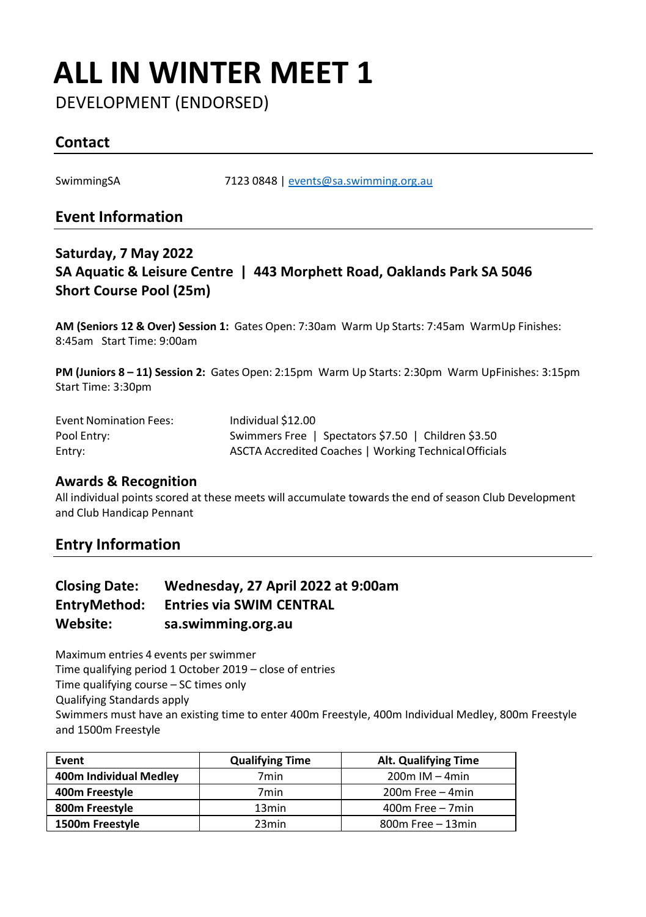## **ALL IN WINTER MEET 1**

DEVELOPMENT (ENDORSED)

## **Contact**

SwimmingSA 7123 0848 | [events@sa.swimming.org.au](mailto:events@sa.swimming.org.au)

### **Event Information**

### **Saturday, 7 May 2022 SA Aquatic & Leisure Centre | 443 Morphett Road, Oaklands Park SA 5046 Short Course Pool (25m)**

**AM (Seniors 12 & Over) Session 1:** Gates Open: 7:30am Warm Up Starts: 7:45am WarmUp Finishes: 8:45am Start Time: 9:00am

**PM (Juniors 8 – 11) Session 2:** Gates Open: 2:15pm Warm Up Starts: 2:30pm Warm UpFinishes: 3:15pm Start Time: 3:30pm

| <b>Event Nomination Fees:</b> | Individual \$12.00                                     |
|-------------------------------|--------------------------------------------------------|
| Pool Entry:                   | Swimmers Free   Spectators \$7.50   Children \$3.50    |
| Entry:                        | ASCTA Accredited Coaches   Working Technical Officials |

#### **Awards & Recognition**

All individual points scored at these meets will accumulate towards the end of season Club Development and Club Handicap Pennant

## **Entry Information**

| <b>Closing Date:</b> | Wednesday, 27 April 2022 at 9:00am |
|----------------------|------------------------------------|
| EntryMethod:         | <b>Entries via SWIM CENTRAL</b>    |
| Website:             | sa.swimming.org.au                 |

Maximum entries 4 events per swimmer Time qualifying period 1 October 2019 – close of entries Time qualifying course – SC times only Qualifying Standards apply Swimmers must have an existing time to enter 400m Freestyle, 400m Individual Medley, 800m Freestyle and 1500m Freestyle

| Event                  | <b>Qualifying Time</b> | <b>Alt. Qualifying Time</b> |
|------------------------|------------------------|-----------------------------|
| 400m Individual Medley | 7 <sub>min</sub>       | $200m$ IM $-4min$           |
| 400m Freestyle         | 7min                   | $200m$ Free $-4min$         |
| 800m Freestyle         | 13 <sub>min</sub>      | $400m$ Free $-7min$         |
| 1500m Freestyle        | 23 <sub>min</sub>      | $800m$ Free $-13min$        |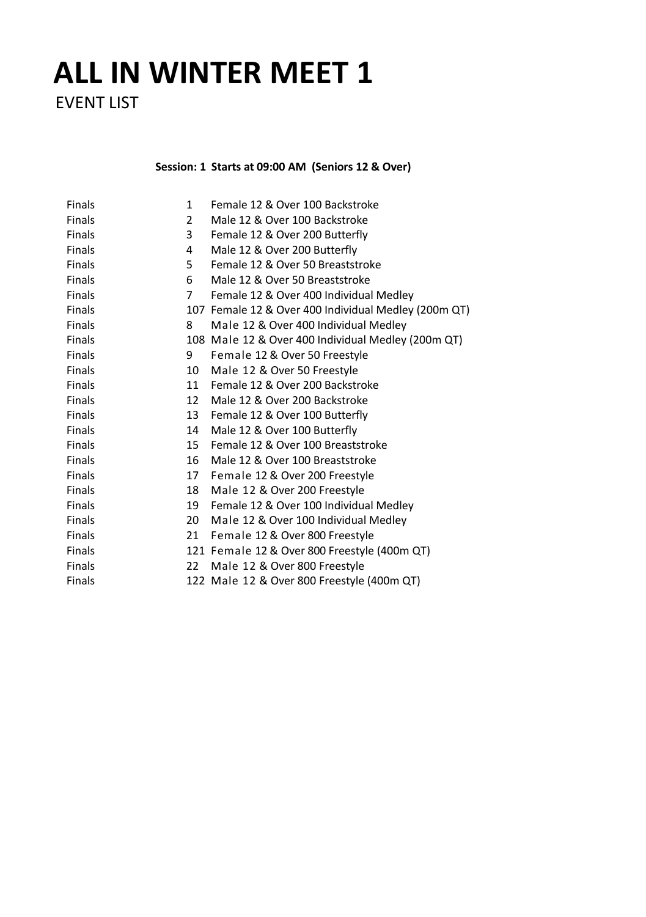## **ALL IN WINTER MEET 1**

EVENT LIST

**Session: 1 Starts at 09:00 AM (Seniors 12 & Over)**

| <b>Finals</b> | $\mathbf{1}$ | Female 12 & Over 100 Backstroke                      |
|---------------|--------------|------------------------------------------------------|
| Finals        | 2            | Male 12 & Over 100 Backstroke                        |
| <b>Finals</b> | 3            | Female 12 & Over 200 Butterfly                       |
| Finals        | 4            | Male 12 & Over 200 Butterfly                         |
| <b>Finals</b> | 5.           | Female 12 & Over 50 Breaststroke                     |
| Finals        | 6            | Male 12 & Over 50 Breaststroke                       |
| <b>Finals</b> | $7^{\circ}$  | Female 12 & Over 400 Individual Medley               |
| Finals        |              | 107 Female 12 & Over 400 Individual Medley (200m QT) |
| Finals        | 8            | Male 12 & Over 400 Individual Medley                 |
| Finals        |              | 108 Male 12 & Over 400 Individual Medley (200m QT)   |
| Finals        | 9            | Female 12 & Over 50 Freestyle                        |
| <b>Finals</b> | 10           | Male 12 & Over 50 Freestyle                          |
| Finals        | 11           | Female 12 & Over 200 Backstroke                      |
| <b>Finals</b> | 12           | Male 12 & Over 200 Backstroke                        |
| <b>Finals</b> | 13           | Female 12 & Over 100 Butterfly                       |
| <b>Finals</b> | 14           | Male 12 & Over 100 Butterfly                         |
| Finals        | 15           | Female 12 & Over 100 Breaststroke                    |
| Finals        | 16           | Male 12 & Over 100 Breaststroke                      |
| <b>Finals</b> | 17           | Female 12 & Over 200 Freestyle                       |
| Finals        | 18           | Male 12 & Over 200 Freestyle                         |
| <b>Finals</b> | 19           | Female 12 & Over 100 Individual Medley               |
| Finals        | 20           | Male 12 & Over 100 Individual Medley                 |
| <b>Finals</b> | 21           | Female 12 & Over 800 Freestyle                       |
| Finals        |              | 121 Female 12 & Over 800 Freestyle (400m QT)         |
| Finals        | 22           | Male 12 & Over 800 Freestyle                         |
| Finals        |              | 122 Male 12 & Over 800 Freestyle (400m QT)           |